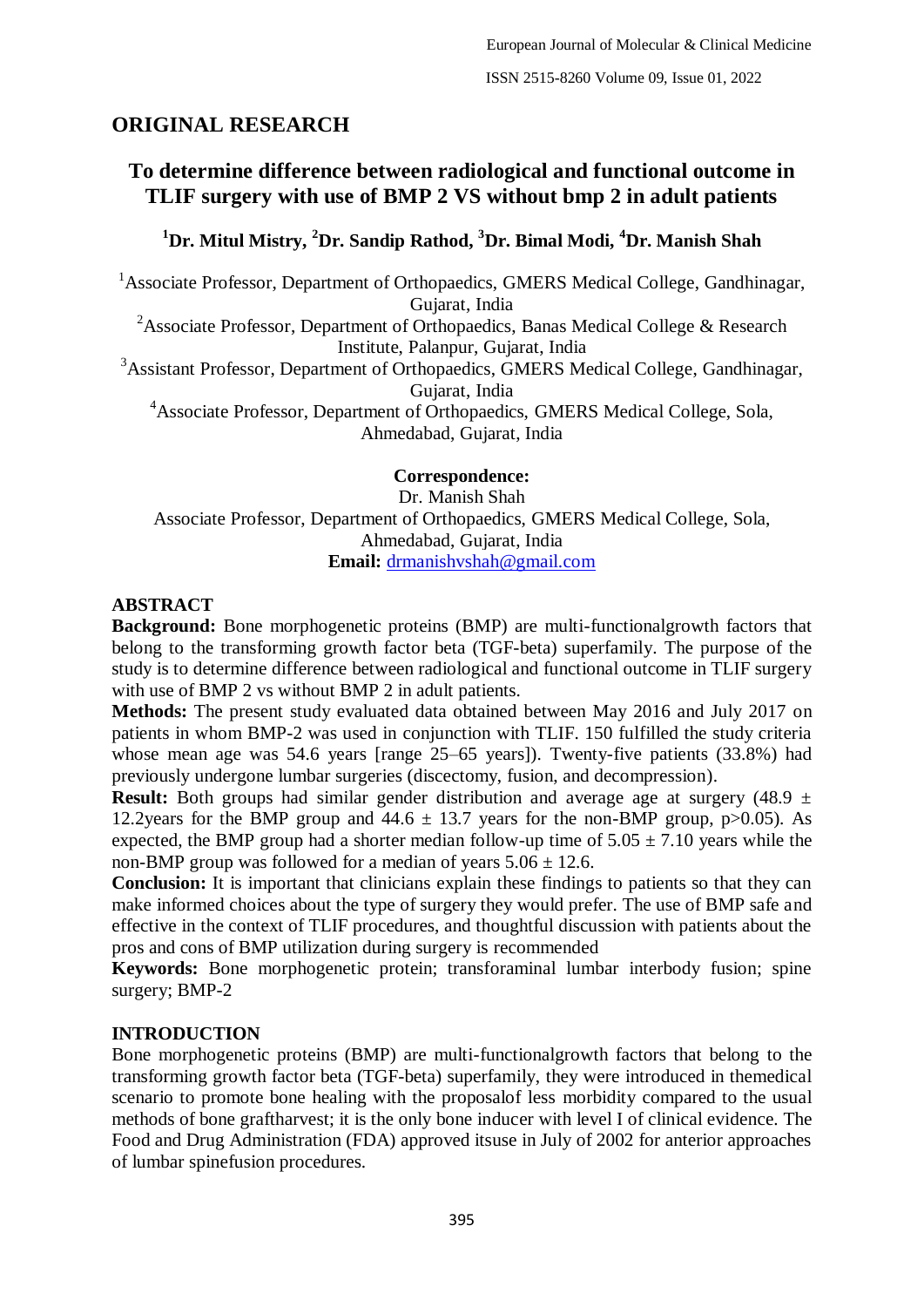ISSN 2515-8260 Volume 09, Issue 01, 2022

# **ORIGINAL RESEARCH**

# **To determine difference between radiological and functional outcome in TLIF surgery with use of BMP 2 VS without bmp 2 in adult patients**

# **<sup>1</sup>Dr. Mitul Mistry, <sup>2</sup>Dr. Sandip Rathod, <sup>3</sup>Dr. Bimal Modi, <sup>4</sup>Dr. Manish Shah**

 $1$ Associate Professor, Department of Orthopaedics, GMERS Medical College, Gandhinagar, Gujarat, India <sup>2</sup>Associate Professor, Department of Orthopaedics, Banas Medical College & Research Institute, Palanpur, Gujarat, India <sup>3</sup>Assistant Professor, Department of Orthopaedics, GMERS Medical College, Gandhinagar, Gujarat, India <sup>4</sup>Associate Professor, Department of Orthopaedics, GMERS Medical College, Sola,

Ahmedabad, Gujarat, India

**Correspondence:** Dr. Manish Shah Associate Professor, Department of Orthopaedics, GMERS Medical College, Sola, Ahmedabad, Gujarat, India **Email:** [drmanishvshah@gmail.com](mailto:drmanishvshah@gmail.com)

#### **ABSTRACT**

**Background:** Bone morphogenetic proteins (BMP) are multi-functionalgrowth factors that belong to the transforming growth factor beta (TGF-beta) superfamily. The purpose of the study is to determine difference between radiological and functional outcome in TLIF surgery with use of BMP 2 vs without BMP 2 in adult patients.

**Methods:** The present study evaluated data obtained between May 2016 and July 2017 on patients in whom BMP-2 was used in conjunction with TLIF. 150 fulfilled the study criteria whose mean age was 54.6 years [range 25–65 years]). Twenty-five patients (33.8%) had previously undergone lumbar surgeries (discectomy, fusion, and decompression).

**Result:** Both groups had similar gender distribution and average age at surgery (48.9  $\pm$ 12.2years for the BMP group and  $44.6 \pm 13.7$  years for the non-BMP group, p $>0.05$ ). As expected, the BMP group had a shorter median follow-up time of  $5.05 \pm 7.10$  years while the non-BMP group was followed for a median of years  $5.06 \pm 12.6$ .

**Conclusion:** It is important that clinicians explain these findings to patients so that they can make informed choices about the type of surgery they would prefer. The use of BMP safe and effective in the context of TLIF procedures, and thoughtful discussion with patients about the pros and cons of BMP utilization during surgery is recommended

**Keywords:** Bone morphogenetic protein; transforaminal lumbar interbody fusion; spine surgery; BMP-2

# **INTRODUCTION**

Bone morphogenetic proteins (BMP) are multi-functionalgrowth factors that belong to the transforming growth factor beta (TGF-beta) superfamily, they were introduced in themedical scenario to promote bone healing with the proposalof less morbidity compared to the usual methods of bone graftharvest; it is the only bone inducer with level I of clinical evidence. The Food and Drug Administration (FDA) approved itsuse in July of 2002 for anterior approaches of lumbar spinefusion procedures.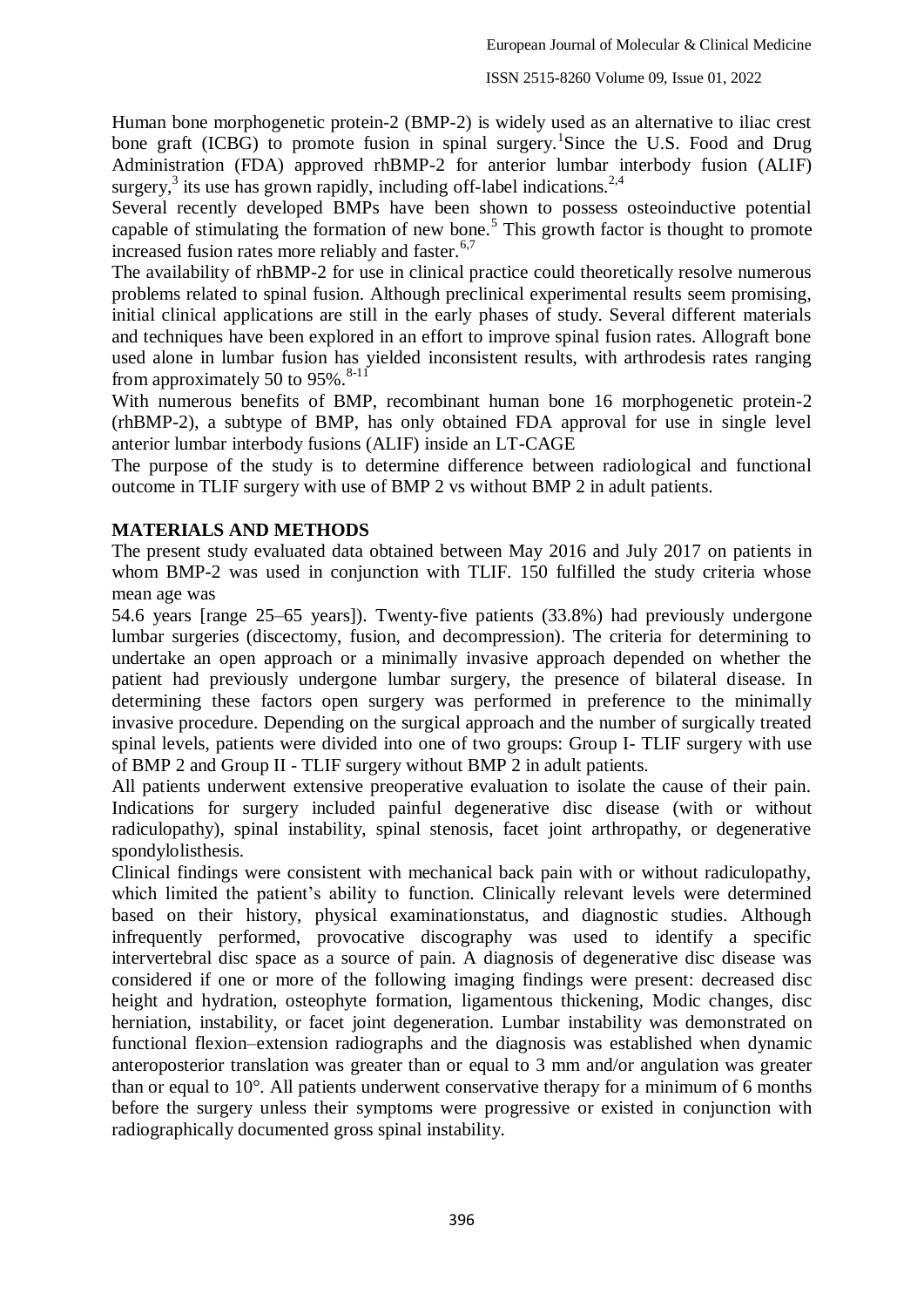Human bone morphogenetic protein-2 (BMP-2) is widely used as an alternative to iliac crest bone graft (ICBG) to promote fusion in spinal surgery. Since the U.S. Food and Drug Administration (FDA) approved rhBMP-2 for anterior lumbar interbody fusion (ALIF) surgery,<sup>3</sup> its use has grown rapidly, including off-label indications.<sup>2,4</sup>

Several recently developed BMPs have been shown to possess osteoinductive potential capable of stimulating the formation of new bone.<sup>5</sup> This growth factor is thought to promote increased fusion rates more reliably and faster. $6,7$ 

The availability of rhBMP-2 for use in clinical practice could theoretically resolve numerous problems related to spinal fusion. Although preclinical experimental results seem promising, initial clinical applications are still in the early phases of study. Several different materials and techniques have been explored in an effort to improve spinal fusion rates. Allograft bone used alone in lumbar fusion has yielded inconsistent results, with arthrodesis rates ranging from approximately 50 to  $95\%$ .<sup>8-11</sup>

With numerous benefits of BMP, recombinant human bone 16 morphogenetic protein-2 (rhBMP-2), a subtype of BMP, has only obtained FDA approval for use in single level anterior lumbar interbody fusions (ALIF) inside an LT-CAGE

The purpose of the study is to determine difference between radiological and functional outcome in TLIF surgery with use of BMP 2 vs without BMP 2 in adult patients.

# **MATERIALS AND METHODS**

The present study evaluated data obtained between May 2016 and July 2017 on patients in whom BMP-2 was used in conjunction with TLIF. 150 fulfilled the study criteria whose mean age was

54.6 years [range 25–65 years]). Twenty-five patients (33.8%) had previously undergone lumbar surgeries (discectomy, fusion, and decompression). The criteria for determining to undertake an open approach or a minimally invasive approach depended on whether the patient had previously undergone lumbar surgery, the presence of bilateral disease. In determining these factors open surgery was performed in preference to the minimally invasive procedure. Depending on the surgical approach and the number of surgically treated spinal levels, patients were divided into one of two groups: Group I- TLIF surgery with use of BMP 2 and Group II - TLIF surgery without BMP 2 in adult patients.

All patients underwent extensive preoperative evaluation to isolate the cause of their pain. Indications for surgery included painful degenerative disc disease (with or without radiculopathy), spinal instability, spinal stenosis, facet joint arthropathy, or degenerative spondylolisthesis.

Clinical findings were consistent with mechanical back pain with or without radiculopathy, which limited the patient's ability to function. Clinically relevant levels were determined based on their history, physical examinationstatus, and diagnostic studies. Although infrequently performed, provocative discography was used to identify a specific intervertebral disc space as a source of pain. A diagnosis of degenerative disc disease was considered if one or more of the following imaging findings were present: decreased disc height and hydration, osteophyte formation, ligamentous thickening, Modic changes, disc herniation, instability, or facet joint degeneration. Lumbar instability was demonstrated on functional flexion–extension radiographs and the diagnosis was established when dynamic anteroposterior translation was greater than or equal to 3 mm and/or angulation was greater than or equal to 10°. All patients underwent conservative therapy for a minimum of 6 months before the surgery unless their symptoms were progressive or existed in conjunction with radiographically documented gross spinal instability.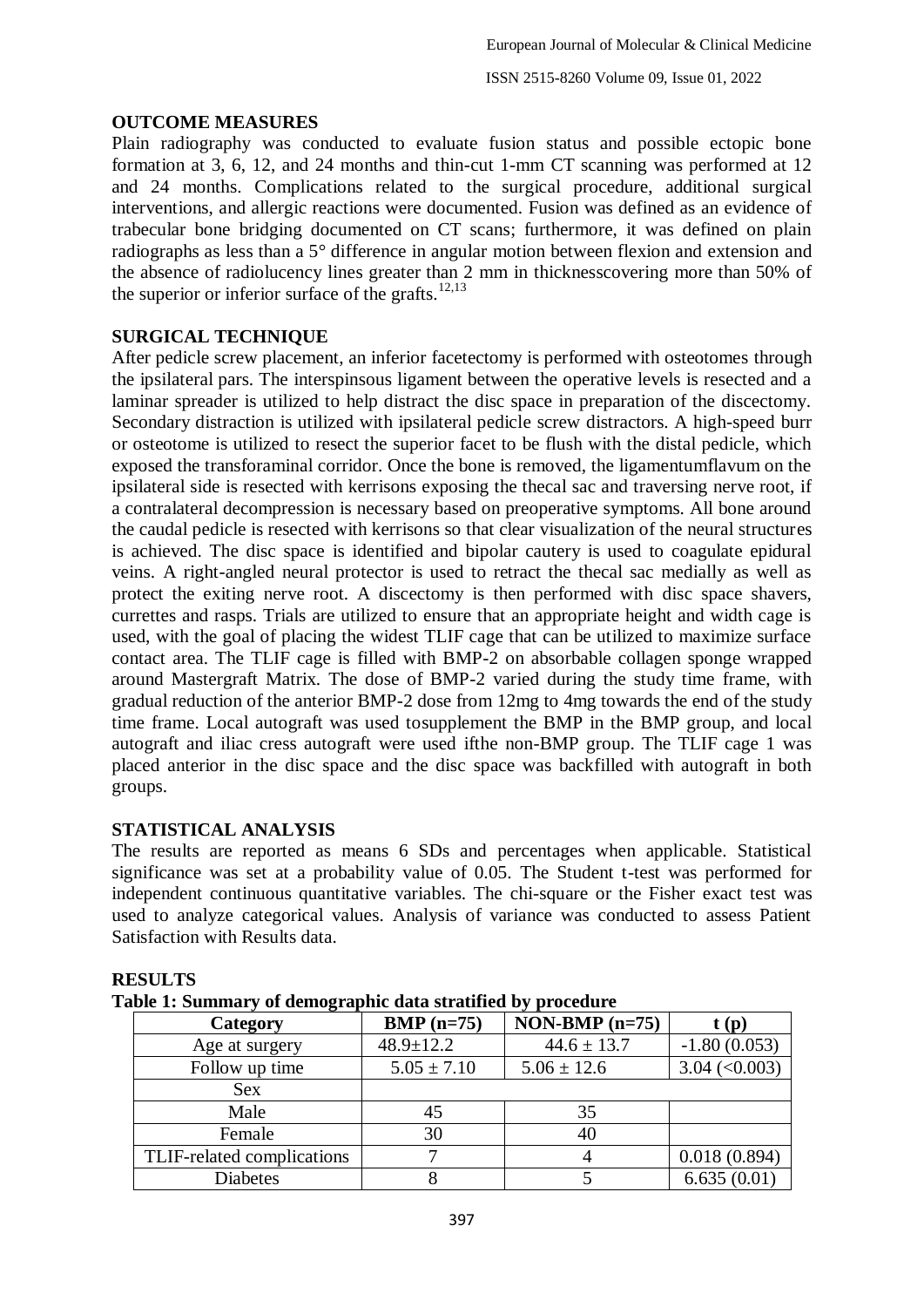# **OUTCOME MEASURES**

Plain radiography was conducted to evaluate fusion status and possible ectopic bone formation at 3, 6, 12, and 24 months and thin-cut 1-mm CT scanning was performed at 12 and 24 months. Complications related to the surgical procedure, additional surgical interventions, and allergic reactions were documented. Fusion was defined as an evidence of trabecular bone bridging documented on CT scans; furthermore, it was defined on plain radiographs as less than a 5° difference in angular motion between flexion and extension and the absence of radiolucency lines greater than 2 mm in thicknesscovering more than 50% of the superior or inferior surface of the grafts.<sup>12,13</sup>

#### **SURGICAL TECHNIQUE**

After pedicle screw placement, an inferior facetectomy is performed with osteotomes through the ipsilateral pars. The interspinsous ligament between the operative levels is resected and a laminar spreader is utilized to help distract the disc space in preparation of the discectomy. Secondary distraction is utilized with ipsilateral pedicle screw distractors. A high-speed burr or osteotome is utilized to resect the superior facet to be flush with the distal pedicle, which exposed the transforaminal corridor. Once the bone is removed, the ligamentumflavum on the ipsilateral side is resected with kerrisons exposing the thecal sac and traversing nerve root, if a contralateral decompression is necessary based on preoperative symptoms. All bone around the caudal pedicle is resected with kerrisons so that clear visualization of the neural structures is achieved. The disc space is identified and bipolar cautery is used to coagulate epidural veins. A right-angled neural protector is used to retract the thecal sac medially as well as protect the exiting nerve root. A discectomy is then performed with disc space shavers, currettes and rasps. Trials are utilized to ensure that an appropriate height and width cage is used, with the goal of placing the widest TLIF cage that can be utilized to maximize surface contact area. The TLIF cage is filled with BMP-2 on absorbable collagen sponge wrapped around Mastergraft Matrix. The dose of BMP-2 varied during the study time frame, with gradual reduction of the anterior BMP-2 dose from 12mg to 4mg towards the end of the study time frame. Local autograft was used tosupplement the BMP in the BMP group, and local autograft and iliac cress autograft were used ifthe non-BMP group. The TLIF cage 1 was placed anterior in the disc space and the disc space was backfilled with autograft in both groups.

#### **STATISTICAL ANALYSIS**

The results are reported as means 6 SDs and percentages when applicable. Statistical significance was set at a probability value of 0.05. The Student t-test was performed for independent continuous quantitative variables. The chi-square or the Fisher exact test was used to analyze categorical values. Analysis of variance was conducted to assess Patient Satisfaction with Results data.

| abie 1. Summary of demographic data stratflied by procedure |                 |                  |                            |  |  |  |
|-------------------------------------------------------------|-----------------|------------------|----------------------------|--|--|--|
| Category                                                    | $BMP (n=75)$    | $NON-BMP (n=75)$ | t(p)                       |  |  |  |
| Age at surgery                                              | $48.9 \pm 12.2$ | $44.6 \pm 13.7$  | $-1.80(0.053)$             |  |  |  |
| Follow up time                                              | $5.05 \pm 7.10$ | $5.06 \pm 12.6$  | $3.04 \, \text{(<)} 0.003$ |  |  |  |
| Sex                                                         |                 |                  |                            |  |  |  |
| Male                                                        | 45              | 35               |                            |  |  |  |
| Female                                                      | 30              | 40               |                            |  |  |  |
| TLIF-related complications                                  |                 |                  | 0.018(0.894)               |  |  |  |
| <b>Diabetes</b>                                             |                 |                  | 6.635(0.01)                |  |  |  |

| <b>RESULTS</b> |
|----------------|
|----------------|

| Table 1: Summary of demographic data stratified by procedure |  |  |
|--------------------------------------------------------------|--|--|
|                                                              |  |  |
|                                                              |  |  |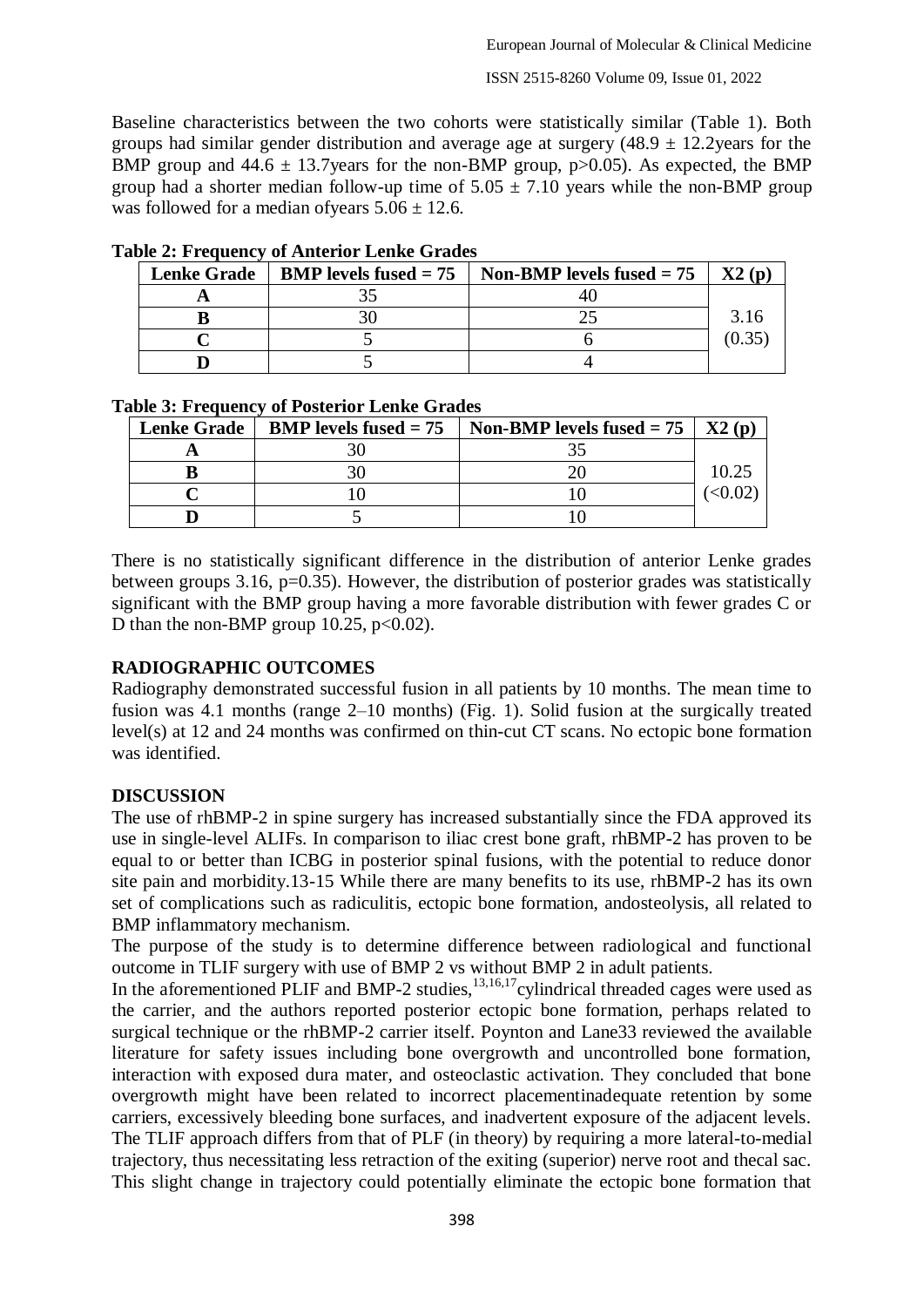ISSN 2515-8260 Volume 09, Issue 01, 2022

Baseline characteristics between the two cohorts were statistically similar (Table 1). Both groups had similar gender distribution and average age at surgery  $(48.9 \pm 12.2)$ years for the BMP group and  $44.6 \pm 13.7$  years for the non-BMP group, p $>0.05$ ). As expected, the BMP group had a shorter median follow-up time of  $5.05 \pm 7.10$  years while the non-BMP group was followed for a median of years  $5.06 \pm 12.6$ .

| <b>Lenke Grade</b> | <b>BMP</b> levels fused $= 75$   Non-BMP levels fused $= 75$ | X2(p)  |
|--------------------|--------------------------------------------------------------|--------|
|                    |                                                              |        |
|                    |                                                              | 3.16   |
|                    |                                                              | (0.35) |
|                    |                                                              |        |

**Table 2: Frequency of Anterior Lenke Grades**

|  |  |  | <b>Table 3: Frequency of Posterior Lenke Grades</b> |  |  |
|--|--|--|-----------------------------------------------------|--|--|
|  |  |  |                                                     |  |  |

| <b>Lenke Grade</b> | <b>BMP</b> levels fused $= 75$ | Non-BMP levels fused = 75   X2 (p) |       |
|--------------------|--------------------------------|------------------------------------|-------|
|                    |                                |                                    |       |
|                    |                                |                                    | 10.25 |
|                    |                                |                                    |       |
|                    |                                |                                    |       |

There is no statistically significant difference in the distribution of anterior Lenke grades between groups 3.16, p=0.35). However, the distribution of posterior grades was statistically significant with the BMP group having a more favorable distribution with fewer grades C or D than the non-BMP group 10.25,  $p<0.02$ ).

# **RADIOGRAPHIC OUTCOMES**

Radiography demonstrated successful fusion in all patients by 10 months. The mean time to fusion was 4.1 months (range 2–10 months) (Fig. 1). Solid fusion at the surgically treated level(s) at 12 and 24 months was confirmed on thin-cut CT scans. No ectopic bone formation was identified.

#### **DISCUSSION**

The use of rhBMP-2 in spine surgery has increased substantially since the FDA approved its use in single-level ALIFs. In comparison to iliac crest bone graft, rhBMP-2 has proven to be equal to or better than ICBG in posterior spinal fusions, with the potential to reduce donor site pain and morbidity.13-15 While there are many benefits to its use, rhBMP-2 has its own set of complications such as radiculitis, ectopic bone formation, andosteolysis, all related to BMP inflammatory mechanism.

The purpose of the study is to determine difference between radiological and functional outcome in TLIF surgery with use of BMP 2 vs without BMP 2 in adult patients.

In the aforementioned PLIF and BMP-2 studies, $\frac{13,16,17}{2}$ cylindrical threaded cages were used as the carrier, and the authors reported posterior ectopic bone formation, perhaps related to surgical technique or the rhBMP-2 carrier itself. Poynton and Lane33 reviewed the available literature for safety issues including bone overgrowth and uncontrolled bone formation, interaction with exposed dura mater, and osteoclastic activation. They concluded that bone overgrowth might have been related to incorrect placementinadequate retention by some carriers, excessively bleeding bone surfaces, and inadvertent exposure of the adjacent levels. The TLIF approach differs from that of PLF (in theory) by requiring a more lateral-to-medial trajectory, thus necessitating less retraction of the exiting (superior) nerve root and thecal sac. This slight change in trajectory could potentially eliminate the ectopic bone formation that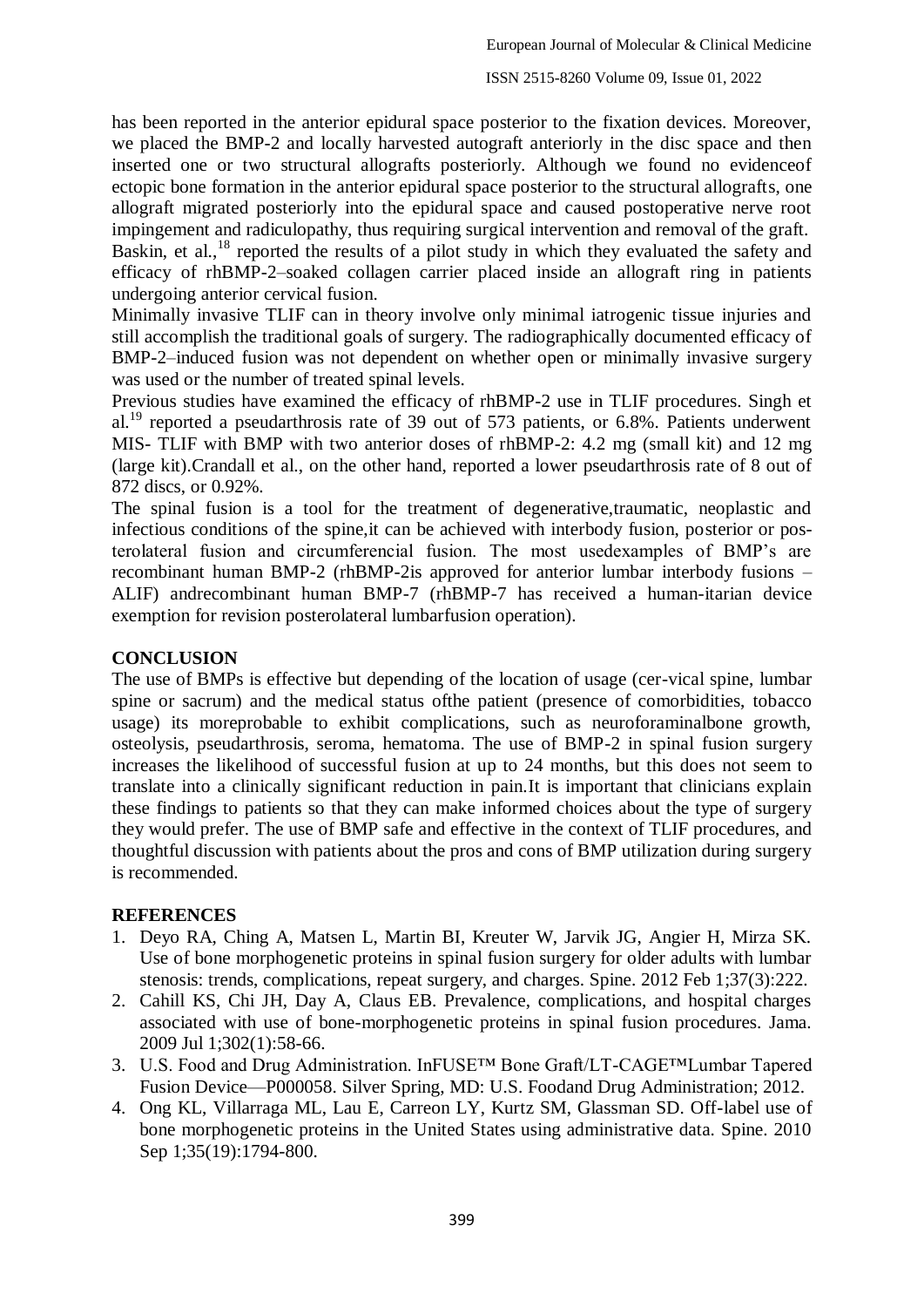has been reported in the anterior epidural space posterior to the fixation devices. Moreover, we placed the BMP-2 and locally harvested autograft anteriorly in the disc space and then inserted one or two structural allografts posteriorly. Although we found no evidenceof ectopic bone formation in the anterior epidural space posterior to the structural allografts, one allograft migrated posteriorly into the epidural space and caused postoperative nerve root impingement and radiculopathy, thus requiring surgical intervention and removal of the graft.

Baskin, et al.,<sup>18</sup> reported the results of a pilot study in which they evaluated the safety and efficacy of rhBMP-2–soaked collagen carrier placed inside an allograft ring in patients undergoing anterior cervical fusion.

Minimally invasive TLIF can in theory involve only minimal iatrogenic tissue injuries and still accomplish the traditional goals of surgery. The radiographically documented efficacy of BMP-2–induced fusion was not dependent on whether open or minimally invasive surgery was used or the number of treated spinal levels.

Previous studies have examined the efficacy of rhBMP-2 use in TLIF procedures. Singh et al.<sup>19</sup> reported a pseudarthrosis rate of 39 out of 573 patients, or 6.8%. Patients underwent MIS- TLIF with BMP with two anterior doses of rhBMP-2: 4.2 mg (small kit) and 12 mg (large kit).Crandall et al., on the other hand, reported a lower pseudarthrosis rate of 8 out of 872 discs, or 0.92%.

The spinal fusion is a tool for the treatment of degenerative,traumatic, neoplastic and infectious conditions of the spine,it can be achieved with interbody fusion, posterior or posterolateral fusion and circumferencial fusion. The most usedexamples of BMP's are recombinant human BMP-2 (rhBMP-2is approved for anterior lumbar interbody fusions – ALIF) andrecombinant human BMP-7 (rhBMP-7 has received a human-itarian device exemption for revision posterolateral lumbarfusion operation).

#### **CONCLUSION**

The use of BMPs is effective but depending of the location of usage (cer-vical spine, lumbar spine or sacrum) and the medical status ofthe patient (presence of comorbidities, tobacco usage) its moreprobable to exhibit complications, such as neuroforaminalbone growth, osteolysis, pseudarthrosis, seroma, hematoma. The use of BMP-2 in spinal fusion surgery increases the likelihood of successful fusion at up to 24 months, but this does not seem to translate into a clinically significant reduction in pain.It is important that clinicians explain these findings to patients so that they can make informed choices about the type of surgery they would prefer. The use of BMP safe and effective in the context of TLIF procedures, and thoughtful discussion with patients about the pros and cons of BMP utilization during surgery is recommended.

#### **REFERENCES**

- 1. Deyo RA, Ching A, Matsen L, Martin BI, Kreuter W, Jarvik JG, Angier H, Mirza SK. Use of bone morphogenetic proteins in spinal fusion surgery for older adults with lumbar stenosis: trends, complications, repeat surgery, and charges. Spine. 2012 Feb 1;37(3):222.
- 2. Cahill KS, Chi JH, Day A, Claus EB. Prevalence, complications, and hospital charges associated with use of bone-morphogenetic proteins in spinal fusion procedures. Jama. 2009 Jul 1;302(1):58-66.
- 3. U.S. Food and Drug Administration. InFUSE™ Bone Graft/LT-CAGE™Lumbar Tapered Fusion Device—P000058. Silver Spring, MD: U.S. Foodand Drug Administration; 2012.
- 4. Ong KL, Villarraga ML, Lau E, Carreon LY, Kurtz SM, Glassman SD. Off-label use of bone morphogenetic proteins in the United States using administrative data. Spine. 2010 Sep 1;35(19):1794-800.